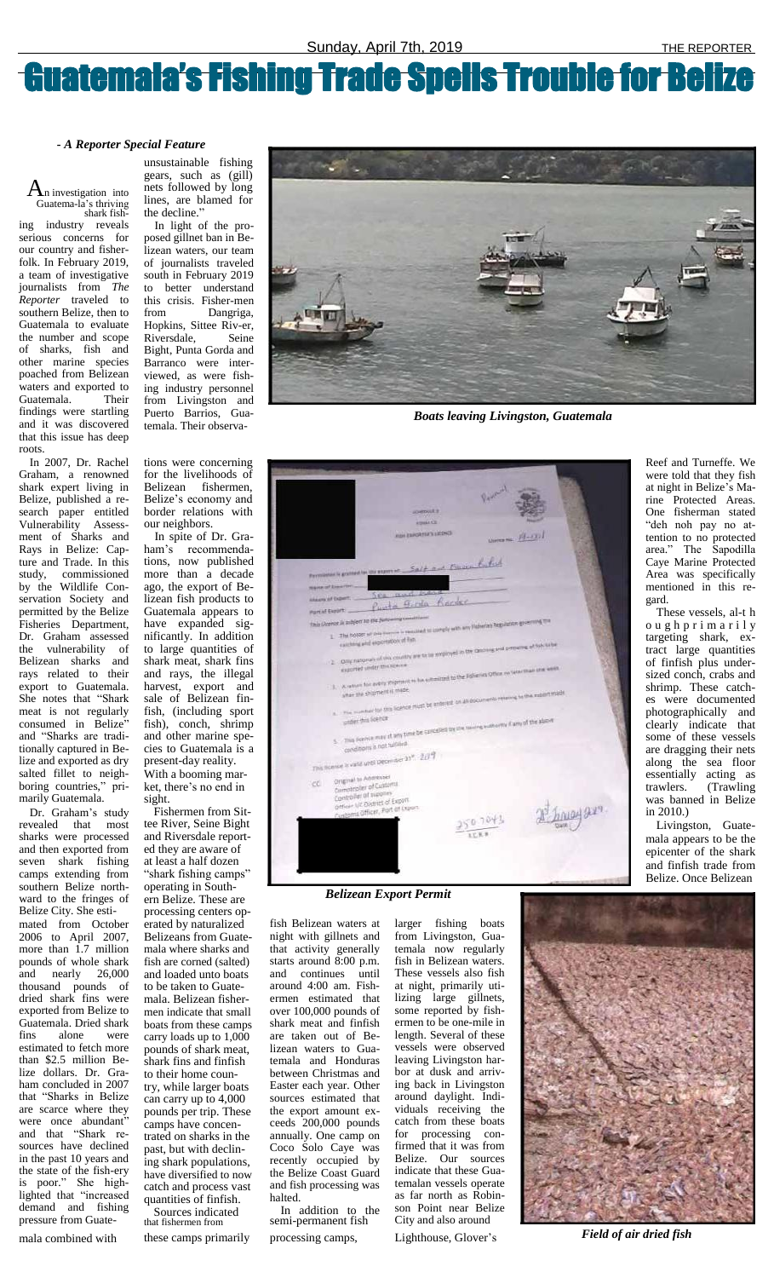## Guatemala's Fishing Trade Spells Trouble for Belize

 $A_n$  investigation into Guatema-la's thriving shark fishing industry reveals serious concerns for our country and fisherfolk. In February 2019, a team of investigative journalists from *The Reporter* traveled to southern Belize, then to Guatemala to evaluate the number and scope of sharks, fish and other marine species poached from Belizean waters and exported to Guatemala. Their findings were startling and it was discovered that this issue has deep roots.

unsustainable fishing gears, such as (gill) nets followed by long lines, are blamed for the decline."

In light of the proposed gillnet ban in Belizean waters, our team of journalists traveled south in February 2019 to better understand this crisis. Fisher-men from Dangriga, Hopkins, Sittee Riv-er, Riversdale, Seine Bight, Punta Gorda and Barranco were interviewed, as were fishing industry personnel from Livingston and Puerto Barrios, Guatemala. Their observa-



*Boats leaving Livingston, Guatemala*

| spenuut a                                                                                                                                              |
|--------------------------------------------------------------------------------------------------------------------------------------------------------|
| <b>EDISACE</b>                                                                                                                                         |
| <b>REM ESPORTER'S LICENSE</b><br>United No. $\frac{f(f+Q)}{f}$                                                                                         |
|                                                                                                                                                        |
|                                                                                                                                                        |
| Promotion to granted too the export of Said and Estatem Parked                                                                                         |
| <b>WAHM of Executive</b>                                                                                                                               |
| re and have<br>stages of Expert.<br>Punta Fire Record                                                                                                  |
| Purcial Export                                                                                                                                         |
| This (Assnay is aubject to the fullowing constituent<br>1. The horser of this former is required to usingly with any Helseran Regulation governing the |
|                                                                                                                                                        |
| east for votersales and and                                                                                                                            |
| Only nationals of this country are to be employed in the Oncours and presence at tips to be<br>œ                                                       |
| exported under the scene<br>. 3. A ration for every shipment in his summitted to the Editorian Office on later must one week.                          |
|                                                                                                                                                        |
| wher the shipment is made.                                                                                                                             |
| A. The number for this license must be entered on all documents retering to the month wade                                                             |
|                                                                                                                                                        |
| 5. This license may at any time be carcelled by the teaming authority if any of the above                                                              |
| conditions is not tuiblied.                                                                                                                            |
| This license is valid until December 31". 2214                                                                                                         |
|                                                                                                                                                        |
| Original to Addresser<br>ec.<br>Comptroller of Customs                                                                                                 |
| Controller of supplies                                                                                                                                 |
| Officer VC District of Export<br>Customs Officer, Port of Export.                                                                                      |
|                                                                                                                                                        |
|                                                                                                                                                        |
|                                                                                                                                                        |
|                                                                                                                                                        |
|                                                                                                                                                        |

In 2007, Dr. Rachel Graham, a renowned shark expert living in Belize, published a research paper entitled Vulnerability Assessment of Sharks and Rays in Belize: Capture and Trade. In this study, commissioned by the Wildlife Conservation Society and permitted by the Belize Fisheries Department, Dr. Graham assessed the vulnerability of Belizean sharks and rays related to their export to Guatemala. She notes that "Shark meat is not regularly consumed in Belize" and "Sharks are traditionally captured in Belize and exported as dry salted fillet to neighboring countries," primarily Guatemala.

tions were concerning for the livelihoods of Belizean fishermen, Belize's economy and border relations with our neighbors.

In spite of Dr. Graham's recommendations, now published more than a decade ago, the export of Belizean fish products to Guatemala appears to have expanded significantly. In addition to large quantities of shark meat, shark fins and rays, the illegal harvest, export and sale of Belizean finfish, (including sport fish), conch, shrimp and other marine species to Guatemala is a present-day reality. With a booming market, there's no end in sight.

In addition to the semi-permanent fish mala combined with these camps primarily processing camps, Lighthouse, Glover's **Field of air dried fish** 

*Belizean Export Permit*

Reef and Turneffe. We were told that they fish at night in Belize's Marine Protected Areas. One fisherman stated "deh noh pay no attention to no protected area." The Sapodilla Caye Marine Protected Area was specifically mentioned in this regard.

Dr. Graham's study revealed that most sharks were processed and then exported from seven shark fishing camps extending from southern Belize northward to the fringes of Belize City. She estimated from October 2006 to April 2007, more than 1.7 million pounds of whole shark and nearly 26,000 thousand pounds of dried shark fins were exported from Belize to Guatemala. Dried shark fins alone were estimated to fetch more than \$2.5 million Belize dollars. Dr. Graham concluded in 2007 that "Sharks in Belize are scarce where they were once abundant" and that "Shark resources have declined in the past 10 years and the state of the fish-ery is poor." She highlighted that "increased demand and fishing pressure from Guate-

These vessels, al-t h o u g h p r i m a r i l y targeting shark, extract large quantities of finfish plus undersized conch, crabs and shrimp. These catches were documented photographically and clearly indicate that some of these vessels are dragging their nets along the sea floor essentially acting as trawlers. (Trawling was banned in Belize in 2010.)

Livingston, Guatemala appears to be the epicenter of the shark and finfish trade from Belize. Once Belizean

Fishermen from Sittee River, Seine Bight and Riversdale reported they are aware of at least a half dozen "shark fishing camps" operating in Southern Belize. These are processing centers operated by naturalized Belizeans from Guatemala where sharks and fish are corned (salted) and loaded unto boats to be taken to Guatemala. Belizean fishermen indicate that small boats from these camps carry loads up to 1,000 pounds of shark meat, shark fins and finfish to their home country, while larger boats can carry up to 4,000 pounds per trip. These camps have concentrated on sharks in the past, but with declining shark populations, have diversified to now catch and process vast quantities of finfish. Sources indicated that fishermen from

fish Belizean waters at night with gillnets and that activity generally starts around 8:00 p.m. and continues until around 4:00 am. Fishermen estimated that over 100,000 pounds of shark meat and finfish are taken out of Belizean waters to Guatemala and Honduras between Christmas and Easter each year. Other sources estimated that the export amount exceeds 200,000 pounds annually. One camp on Coco Solo Caye was recently occupied by the Belize Coast Guard and fish processing was halted.

larger fishing boats from Livingston, Guatemala now regularly fish in Belizean waters. These vessels also fish at night, primarily utilizing large gillnets, some reported by fishermen to be one-mile in length. Several of these vessels were observed leaving Livingston harbor at dusk and arriving back in Livingston around daylight. Individuals receiving the catch from these boats for processing confirmed that it was from Belize. Our sources indicate that these Guatemalan vessels operate as far north as Robinson Point near Belize City and also around



## *- A Reporter Special Feature*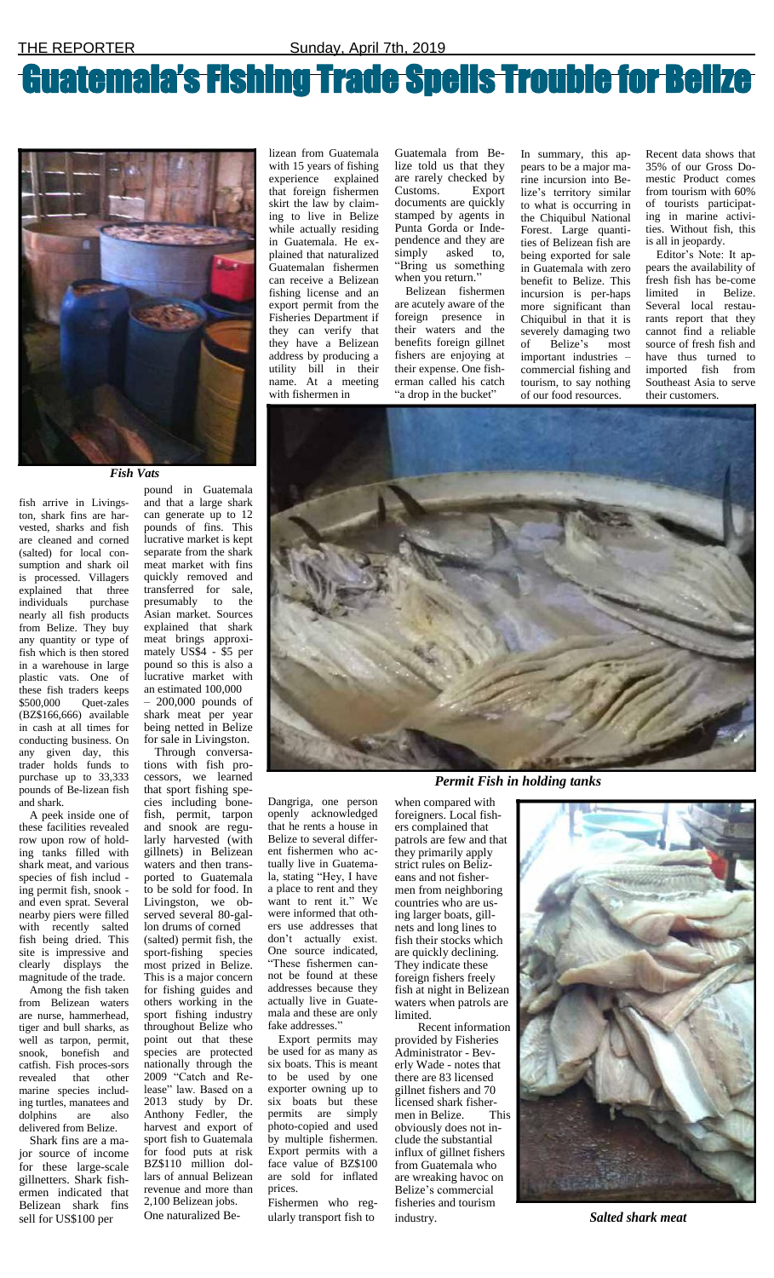## Guatemala's Fishing Trade Spells Trouble for Belize



Guatemala from Belize told us that they are rarely checked by Customs. Export documents are quickly stamped by agents in Punta Gorda or Independence and they are simply asked to, "Bring us something when you return."

lizean from Guatemala with 15 years of fishing experience explained that foreign fishermen skirt the law by claiming to live in Belize while actually residing in Guatemala. He explained that naturalized Guatemalan fishermen can receive a Belizean fishing license and an export permit from the Fisheries Department if they can verify that they have a Belizean address by producing a utility bill in their name. At a meeting with fishermen in

Belizean fishermen are acutely aware of the foreign presence in their waters and the benefits foreign gillnet fishers are enjoying at their expense. One fisherman called his catch "a drop in the bucket"

In summary, this appears to be a major marine incursion into Belize's territory similar to what is occurring in the Chiquibul National Forest. Large quantities of Belizean fish are being exported for sale in Guatemala with zero benefit to Belize. This incursion is per-haps more significant than Chiquibul in that it is severely damaging two of Belize's most important industries – commercial fishing and tourism, to say nothing of our food resources.

Recent data shows that 35% of our Gross Domestic Product comes from tourism with 60% of tourists participating in marine activities. Without fish, this is all in jeopardy.

Editor's Note: It appears the availability of fresh fish has be-come limited in Belize. Several local restaurants report that they cannot find a reliable source of fresh fish and have thus turned to imported fish from Southeast Asia to serve their customers.

## *Fish Vats*

fish arrive in Livingston, shark fins are harvested, sharks and fish are cleaned and corned (salted) for local consumption and shark oil is processed. Villagers explained that three individuals purchase nearly all fish products from Belize. They buy any quantity or type of fish which is then stored in a warehouse in large plastic vats. One of these fish traders keeps \$500,000 Quet-zales (BZ\$166,666) available in cash at all times for conducting business. On any given day, this trader holds funds to purchase up to 33,333 pounds of Be-lizean fish and shark.

A peek inside one of these facilities revealed row upon row of holding tanks filled with shark meat, and various species of fish includ ing permit fish, snook and even sprat. Several nearby piers were filled with recently salted fish being dried. This site is impressive and clearly displays the magnitude of the trade. Among the fish taken from Belizean waters are nurse, hammerhead, tiger and bull sharks, as well as tarpon, permit, snook, bonefish and catfish. Fish proces-sors revealed that other marine species including turtles, manatees and dolphins are also delivered from Belize. Shark fins are a major source of income for these large-scale gillnetters. Shark fishermen indicated that Belizean shark fins sell for US\$100 per

pound in Guatemala and that a large shark can generate up to 12 pounds of fins. This lucrative market is kept separate from the shark meat market with fins quickly removed and transferred for sale, presumably to the Asian market. Sources explained that shark meat brings approximately US\$4 - \$5 per pound so this is also a lucrative market with an estimated 100,000

– 200,000 pounds of shark meat per year being netted in Belize for sale in Livingston.

Through conversations with fish processors, we learned that sport fishing species including bonefish, permit, tarpon and snook are regularly harvested (with gillnets) in Belizean waters and then transported to Guatemala to be sold for food. In Livingston, we observed several 80-gallon drums of corned (salted) permit fish, the sport-fishing species most prized in Belize. This is a major concern for fishing guides and others working in the sport fishing industry throughout Belize who point out that these species are protected nationally through the 2009 "Catch and Release" law. Based on a 2013 study by Dr. Anthony Fedler, the harvest and export of sport fish to Guatemala for food puts at risk BZ\$110 million dollars of annual Belizean revenue and more than 2,100 Belizean jobs. One naturalized Be-

Dangriga, one person openly acknowledged that he rents a house in Belize to several different fishermen who actually live in Guatemala, stating "Hey, I have a place to rent and they want to rent it." We were informed that others use addresses that don't actually exist. One source indicated, "These fishermen cannot be found at these addresses because they actually live in Guatemala and these are only fake addresses." Export permits may be used for as many as six boats. This is meant to be used by one exporter owning up to six boats but these permits are simply photo-copied and used by multiple fishermen. Export permits with a face value of BZ\$100 are sold for inflated prices.

Fishermen who regularly transport fish to



*Permit Fish in holding tanks*

when compared with foreigners. Local fishers complained that patrols are few and that they primarily apply strict rules on Belizeans and not fishermen from neighboring countries who are using larger boats, gillnets and long lines to fish their stocks which are quickly declining. They indicate these foreign fishers freely fish at night in Belizean waters when patrols are limited. Recent information provided by Fisheries Administrator - Beverly Wade - notes that there are 83 licensed gillnet fishers and 70 licensed shark fishermen in Belize. This obviously does not include the substantial influx of gillnet fishers from Guatemala who are wreaking havoc on Belize's commercial fisheries and tourism



industry. *Salted shark meat*